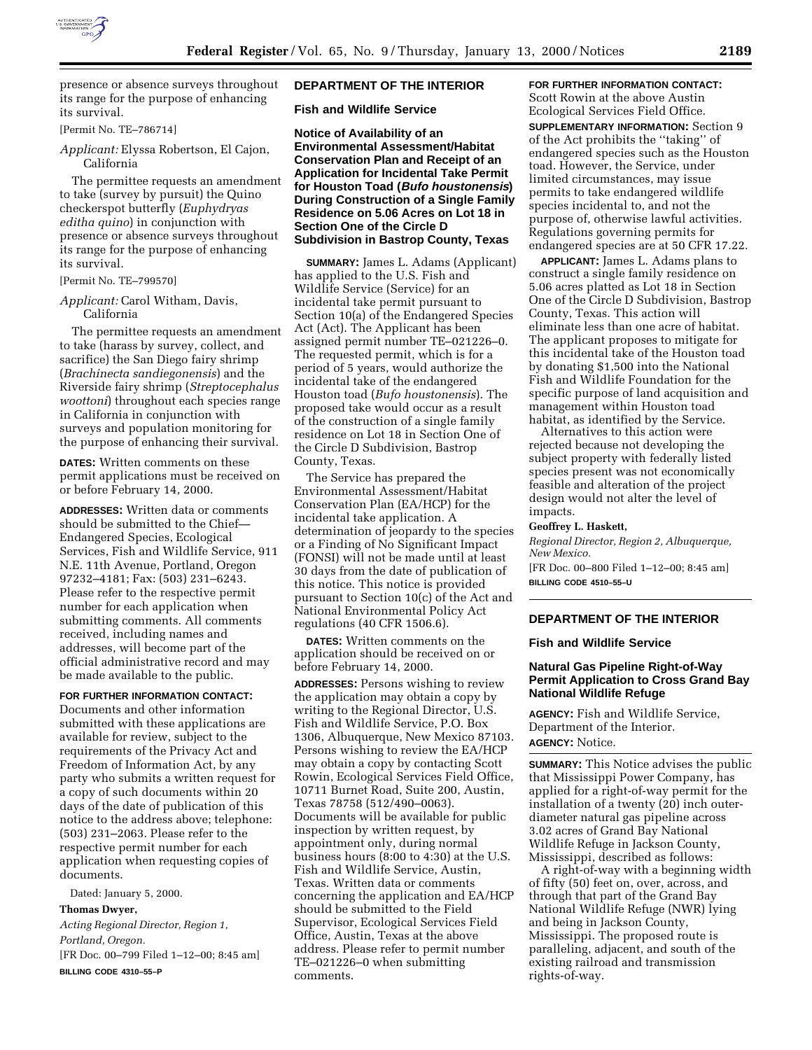

presence or absence surveys throughout its range for the purpose of enhancing its survival.

[Permit No. TE–786714]

*Applicant:* Elyssa Robertson, El Cajon, California

The permittee requests an amendment to take (survey by pursuit) the Quino checkerspot butterfly (*Euphydryas editha quino*) in conjunction with presence or absence surveys throughout its range for the purpose of enhancing its survival.

[Permit No. TE–799570]

*Applicant:* Carol Witham, Davis, California

The permittee requests an amendment to take (harass by survey, collect, and sacrifice) the San Diego fairy shrimp (*Brachinecta sandiegonensis*) and the Riverside fairy shrimp (*Streptocephalus woottoni*) throughout each species range in California in conjunction with surveys and population monitoring for the purpose of enhancing their survival.

**DATES:** Written comments on these permit applications must be received on or before February 14, 2000.

**ADDRESSES:** Written data or comments should be submitted to the Chief— Endangered Species, Ecological Services, Fish and Wildlife Service, 911 N.E. 11th Avenue, Portland, Oregon 97232–4181; Fax: (503) 231–6243. Please refer to the respective permit number for each application when submitting comments. All comments received, including names and addresses, will become part of the official administrative record and may be made available to the public.

### **FOR FURTHER INFORMATION CONTACT:**

Documents and other information submitted with these applications are available for review, subject to the requirements of the Privacy Act and Freedom of Information Act, by any party who submits a written request for a copy of such documents within 20 days of the date of publication of this notice to the address above; telephone: (503) 231–2063. Please refer to the respective permit number for each application when requesting copies of documents.

Dated: January 5, 2000.

## **Thomas Dwyer,**

*Acting Regional Director, Region 1, Portland, Oregon.* [FR Doc. 00–799 Filed 1–12–00; 8:45 am]

**BILLING CODE 4310–55–P**

### **DEPARTMENT OF THE INTERIOR**

**Fish and Wildlife Service**

**Notice of Availability of an Environmental Assessment/Habitat Conservation Plan and Receipt of an Application for Incidental Take Permit for Houston Toad (Bufo houstonensis) During Construction of a Single Family Residence on 5.06 Acres on Lot 18 in Section One of the Circle D Subdivision in Bastrop County, Texas**

**SUMMARY:** James L. Adams (Applicant) has applied to the U.S. Fish and Wildlife Service (Service) for an incidental take permit pursuant to Section 10(a) of the Endangered Species Act (Act). The Applicant has been assigned permit number TE–021226–0. The requested permit, which is for a period of 5 years, would authorize the incidental take of the endangered Houston toad (*Bufo houstonensis*). The proposed take would occur as a result of the construction of a single family residence on Lot 18 in Section One of the Circle D Subdivision, Bastrop County, Texas.

The Service has prepared the Environmental Assessment/Habitat Conservation Plan (EA/HCP) for the incidental take application. A determination of jeopardy to the species or a Finding of No Significant Impact (FONSI) will not be made until at least 30 days from the date of publication of this notice. This notice is provided pursuant to Section 10(c) of the Act and National Environmental Policy Act regulations (40 CFR 1506.6).

**DATES:** Written comments on the application should be received on or before February 14, 2000.

**ADDRESSES:** Persons wishing to review the application may obtain a copy by writing to the Regional Director, U.S. Fish and Wildlife Service, P.O. Box 1306, Albuquerque, New Mexico 87103. Persons wishing to review the EA/HCP may obtain a copy by contacting Scott Rowin, Ecological Services Field Office, 10711 Burnet Road, Suite 200, Austin, Texas 78758 (512/490–0063). Documents will be available for public inspection by written request, by appointment only, during normal business hours (8:00 to 4:30) at the U.S. Fish and Wildlife Service, Austin, Texas. Written data or comments concerning the application and EA/HCP should be submitted to the Field Supervisor, Ecological Services Field Office, Austin, Texas at the above address. Please refer to permit number TE–021226–0 when submitting comments.

# **FOR FURTHER INFORMATION CONTACT:** Scott Rowin at the above Austin Ecological Services Field Office. **SUPPLEMENTARY INFORMATION:** Section 9 of the Act prohibits the ''taking'' of endangered species such as the Houston toad. However, the Service, under limited circumstances, may issue permits to take endangered wildlife species incidental to, and not the purpose of, otherwise lawful activities. Regulations governing permits for

endangered species are at 50 CFR 17.22.

**APPLICANT:** James L. Adams plans to construct a single family residence on 5.06 acres platted as Lot 18 in Section One of the Circle D Subdivision, Bastrop County, Texas. This action will eliminate less than one acre of habitat. The applicant proposes to mitigate for this incidental take of the Houston toad by donating \$1,500 into the National Fish and Wildlife Foundation for the specific purpose of land acquisition and management within Houston toad habitat, as identified by the Service.

Alternatives to this action were rejected because not developing the subject property with federally listed species present was not economically feasible and alteration of the project design would not alter the level of impacts.

### **Geoffrey L. Haskett,**

*Regional Director, Region 2, Albuquerque, New Mexico.*

[FR Doc. 00–800 Filed 1–12–00; 8:45 am] **BILLING CODE 4510–55–U**

# **DEPARTMENT OF THE INTERIOR**

### **Fish and Wildlife Service**

# **Natural Gas Pipeline Right-of-Way Permit Application to Cross Grand Bay National Wildlife Refuge**

**AGENCY:** Fish and Wildlife Service, Department of the Interior. **AGENCY:** Notice.

**SUMMARY:** This Notice advises the public that Mississippi Power Company, has applied for a right-of-way permit for the installation of a twenty (20) inch outerdiameter natural gas pipeline across 3.02 acres of Grand Bay National Wildlife Refuge in Jackson County, Mississippi, described as follows:

A right-of-way with a beginning width of fifty (50) feet on, over, across, and through that part of the Grand Bay National Wildlife Refuge (NWR) lying and being in Jackson County, Mississippi. The proposed route is paralleling, adjacent, and south of the existing railroad and transmission rights-of-way.